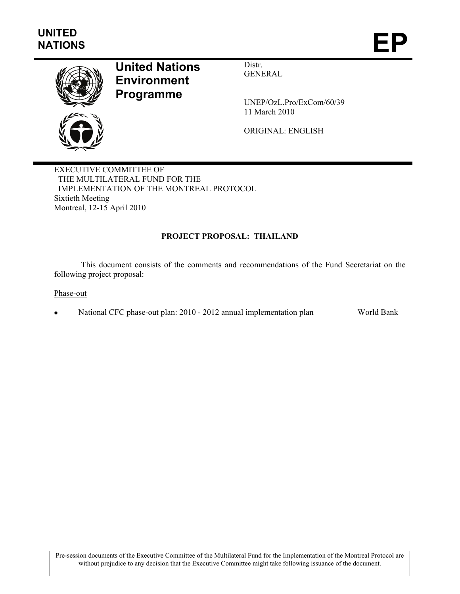

# **United Nations Environment Programme**

Distr. GENERAL

UNEP/OzL.Pro/ExCom/60/39 11 March 2010

ORIGINAL: ENGLISH

EXECUTIVE COMMITTEE OF THE MULTILATERAL FUND FOR THE IMPLEMENTATION OF THE MONTREAL PROTOCOL Sixtieth Meeting Montreal, 12-15 April 2010

#### **PROJECT PROPOSAL: THAILAND**

 This document consists of the comments and recommendations of the Fund Secretariat on the following project proposal:

Phase-out

National CFC phase-out plan: 2010 - 2012 annual implementation plan World Bank

Pre-session documents of the Executive Committee of the Multilateral Fund for the Implementation of the Montreal Protocol are without prejudice to any decision that the Executive Committee might take following issuance of the document.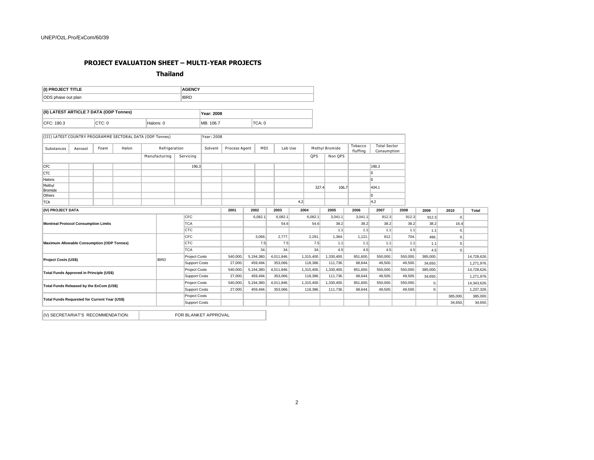## **PROJECT EVALUATION SHEET – MULTI-YEAR PROJECTS**

**Thailand** 

| (I) PROJECT TITLE                                                          |         |        |          |               | <b>AGENCY</b>        |                   |               |            |            |          |            |                |                     |                                    |          |                |          |              |
|----------------------------------------------------------------------------|---------|--------|----------|---------------|----------------------|-------------------|---------------|------------|------------|----------|------------|----------------|---------------------|------------------------------------|----------|----------------|----------|--------------|
| ODS phase out plan                                                         |         |        |          |               | <b>IBRD</b>          |                   |               |            |            |          |            |                |                     |                                    |          |                |          |              |
| (II) LATEST ARTICLE 7 DATA (ODP Tonnes)                                    |         |        |          |               |                      | <b>Year: 2008</b> |               |            |            |          |            |                |                     |                                    |          |                |          |              |
| CFC: 190.3                                                                 |         | CTC: 0 |          | Halons: 0     |                      | MB: 106.7         |               | TCA: 0     |            |          |            |                |                     |                                    |          |                |          |              |
| (III) LATEST COUNTRY PROGRAMME SECTORAL DATA (ODP Tonnes)                  |         |        |          |               |                      | Year: 2008        |               |            |            |          |            |                |                     |                                    |          |                |          |              |
| Substances                                                                 | Aerosol | Foam   | Halon    | Refrigeration |                      | Solvent           | Process Agent |            | MDI        | Lab Use  |            | Methyl Bromide | Tobacco<br>fluffing | <b>Total Sector</b><br>Consumption |          |                |          |              |
|                                                                            |         |        |          | Manufacturing | Servicing            |                   |               |            |            |          | QPS        | Non QPS        |                     |                                    |          |                |          |              |
| <b>CFC</b>                                                                 |         |        |          |               | 190.3                |                   |               |            |            |          |            |                |                     | 190.3                              |          |                |          |              |
| <b>CTC</b>                                                                 |         |        |          |               |                      |                   |               |            |            |          |            |                |                     | $\overline{0}$                     |          |                |          |              |
| Halons                                                                     |         |        |          |               |                      |                   |               |            |            |          |            |                |                     | $\overline{0}$                     |          |                |          |              |
| Methyl<br><b>Bromide</b>                                                   |         |        |          |               |                      |                   |               |            |            |          | 327.4      | 106.7          |                     | 434.1                              |          |                |          |              |
| Others                                                                     |         |        |          |               |                      |                   |               |            |            |          |            |                |                     | 0                                  |          |                |          |              |
| <b>TCA</b>                                                                 |         |        |          |               |                      |                   |               |            |            |          | 4.2        |                |                     | 4.2                                |          |                |          |              |
| (IV) PROJECT DATA                                                          |         |        |          |               |                      |                   | 2001          | 2002       | 2003       |          | 2004       | 2005           | 2006                | 2007                               | 2008     | 2009           | 2010     | <b>Total</b> |
|                                                                            |         |        |          |               | CFC                  |                   |               | 6,082.1    | 6,082.1    |          | 6,082.1    | 3,041.1        | 3,041.1             | 912.3                              | 912.3    | 912.3          | 0.       |              |
| <b>Montreal Protocol Consumption Limits</b>                                |         |        |          |               | <b>TCA</b>           |                   |               |            |            | 54.6     | 54.6       | 38.2           | 38.2                | 38.2                               | 38.2     | 38.2           | 16.4     |              |
|                                                                            |         |        |          |               | <b>CTC</b>           |                   |               |            |            |          |            | 1.1            | 1.1                 | 1.1                                | 1.1      | 1.1            | 0.       |              |
|                                                                            |         |        |          |               | <b>CFC</b>           |                   |               | 3,066.     | 2,777.     |          | 2,291      | 1,364.         | 1,121.              | 912.                               | 704.     | 496.           | 0.       |              |
| <b>Maximum Allowable Consumption (ODP Tonnes)</b>                          |         |        |          |               | <b>CTC</b>           |                   |               |            | 7.5        | 7.5      | 7.5        | 1.1            | 1.1                 | 1.1                                | 1.1      | 1.1            | 0.       |              |
|                                                                            |         |        |          |               | <b>TCA</b>           |                   |               |            | 34.        | 34.      | 34.        | 4.5            | 4.5                 | 4.5                                | 4.5      | 4.5            | 0.       |              |
| <b>Project Costs (US\$)</b>                                                |         |        |          | <b>IBRD</b>   | <b>Project Costs</b> |                   | 540,000.      | 5,194,380. | 4,011,846. |          | 1,315,400. | 1,330,400.     | 851,600.            | 550,000.                           | 550,000. | 385,000.       |          | 14,728,626.  |
|                                                                            |         |        |          |               | <b>Support Costs</b> |                   | 27,000.       | 459,494.   | 353,066.   |          | 118,386.   | 111,736.       | 68,644.             | 49,500.                            | 49,500.  | 34,650.        |          | 1,271,976.   |
| Project Costs<br>Total Funds Approved in Principle (US\$)<br>Support Costs |         |        | 540,000. | 5,194,380.    | 4,011,846.           |                   | 1,315,400.    | 1,330,400. | 851,600.   | 550,000. | 550,000.   | 385,000.       |                     | 14,728,626.                        |          |                |          |              |
|                                                                            |         |        | 27,000.  | 459,494.      | 353,066.             |                   | 118,386.      | 111,736.   | 68,644.    | 49,500.  | 49,500.    | 34,650.        |                     | 1,271,976.                         |          |                |          |              |
| Total Funds Released by the ExCom (US\$)                                   |         |        |          |               | <b>Project Costs</b> |                   | 540,000.      | 5,194,380. | 4,011,846. |          | 1,315,400. | 1,330,400.     | 851,600.            | 550,000.                           | 550,000. | $\mathbf{0}$ . |          | 14,343,626.  |
|                                                                            |         |        |          |               | Support Costs        |                   | 27,000.       | 459,494.   | 353,066.   |          | 118,386.   | 111,736.       | 68,644.             | 49,500.                            | 49,500.  | 0.             |          | 1,237,326.   |
| Total Funds Requested for Current Year (US\$)                              |         |        |          |               | <b>Project Costs</b> |                   |               |            |            |          |            |                |                     |                                    |          |                | 385,000. | 385,000.     |
|                                                                            |         |        |          |               | <b>Support Costs</b> |                   |               |            |            |          |            |                |                     |                                    |          |                | 34,650.  | 34,650.      |
| (V) SECRETARIAT'S RECOMMENDATION:                                          |         |        |          |               | FOR BLANKET APPROVAL |                   |               |            |            |          |            |                |                     |                                    |          |                |          |              |

| Total       |
|-------------|
|             |
|             |
|             |
|             |
| 14,728,626. |
| 1,271,976.  |
| 14,728,626. |
| 1,271,976.  |
| 14.343.626. |
| 1.237.326.  |
| 385.000.    |
| 34,650.     |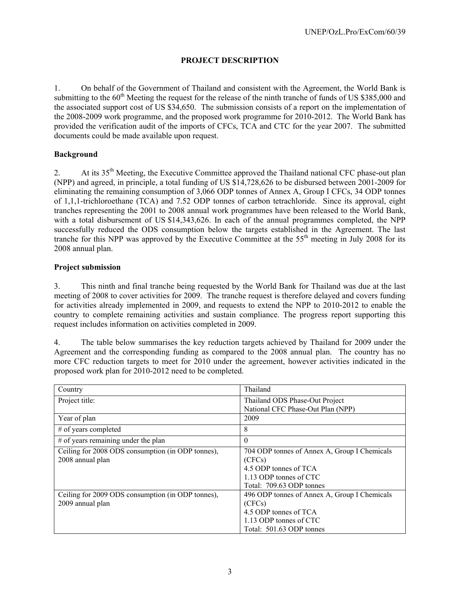#### **PROJECT DESCRIPTION**

1. On behalf of the Government of Thailand and consistent with the Agreement, the World Bank is submitting to the  $60<sup>th</sup>$  Meeting the request for the release of the ninth tranche of funds of US \$385,000 and the associated support cost of US \$34,650. The submission consists of a report on the implementation of the 2008-2009 work programme, and the proposed work programme for 2010-2012. The World Bank has provided the verification audit of the imports of CFCs, TCA and CTC for the year 2007. The submitted documents could be made available upon request.

#### **Background**

2. At its 35<sup>th</sup> Meeting, the Executive Committee approved the Thailand national CFC phase-out plan (NPP) and agreed, in principle, a total funding of US \$14,728,626 to be disbursed between 2001-2009 for eliminating the remaining consumption of 3,066 ODP tonnes of Annex A, Group I CFCs, 34 ODP tonnes of 1,1,1-trichloroethane (TCA) and 7.52 ODP tonnes of carbon tetrachloride. Since its approval, eight tranches representing the 2001 to 2008 annual work programmes have been released to the World Bank, with a total disbursement of US \$14,343,626. In each of the annual programmes completed, the NPP successfully reduced the ODS consumption below the targets established in the Agreement. The last tranche for this NPP was approved by the Executive Committee at the 55<sup>th</sup> meeting in July 2008 for its 2008 annual plan.

#### **Project submission**

3. This ninth and final tranche being requested by the World Bank for Thailand was due at the last meeting of 2008 to cover activities for 2009. The tranche request is therefore delayed and covers funding for activities already implemented in 2009, and requests to extend the NPP to 2010-2012 to enable the country to complete remaining activities and sustain compliance. The progress report supporting this request includes information on activities completed in 2009.

4. The table below summarises the key reduction targets achieved by Thailand for 2009 under the Agreement and the corresponding funding as compared to the 2008 annual plan. The country has no more CFC reduction targets to meet for 2010 under the agreement, however activities indicated in the proposed work plan for 2010-2012 need to be completed.

| Country                                           | Thailand                                     |
|---------------------------------------------------|----------------------------------------------|
| Project title:                                    | Thailand ODS Phase-Out Project               |
|                                                   | National CFC Phase-Out Plan (NPP)            |
| Year of plan                                      | 2009                                         |
| $#$ of years completed                            | 8                                            |
| # of years remaining under the plan               | $\Omega$                                     |
| Ceiling for 2008 ODS consumption (in ODP tonnes), | 704 ODP tonnes of Annex A, Group I Chemicals |
| 2008 annual plan                                  | (CFCs)                                       |
|                                                   | 4.5 ODP tonnes of TCA                        |
|                                                   | 1.13 ODP tonnes of CTC                       |
|                                                   | Total: 709.63 ODP tonnes                     |
| Ceiling for 2009 ODS consumption (in ODP tonnes), | 496 ODP tonnes of Annex A, Group I Chemicals |
| 2009 annual plan                                  | (CFCs)                                       |
|                                                   | 4.5 ODP tonnes of TCA                        |
|                                                   | 1.13 ODP tonnes of CTC                       |
|                                                   | Total: 501.63 ODP tonnes                     |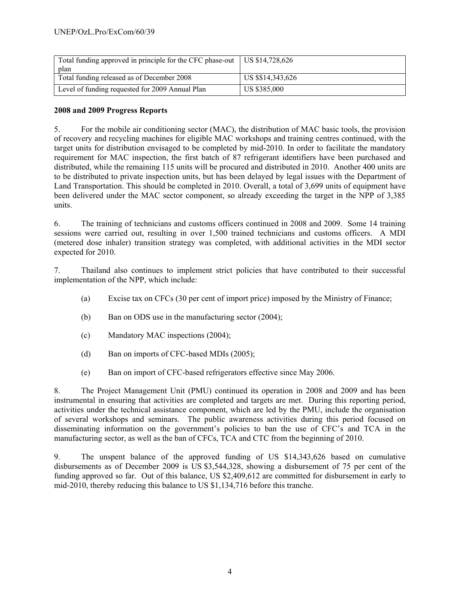| Total funding approved in principle for the CFC phase-out   US \$14,728,626 |                   |
|-----------------------------------------------------------------------------|-------------------|
| plan                                                                        |                   |
| Total funding released as of December 2008                                  | US \$\$14,343,626 |
| Level of funding requested for 2009 Annual Plan                             | US \$385,000      |

#### **2008 and 2009 Progress Reports**

5. For the mobile air conditioning sector (MAC), the distribution of MAC basic tools, the provision of recovery and recycling machines for eligible MAC workshops and training centres continued, with the target units for distribution envisaged to be completed by mid-2010. In order to facilitate the mandatory requirement for MAC inspection, the first batch of 87 refrigerant identifiers have been purchased and distributed, while the remaining 115 units will be procured and distributed in 2010. Another 400 units are to be distributed to private inspection units, but has been delayed by legal issues with the Department of Land Transportation. This should be completed in 2010. Overall, a total of 3,699 units of equipment have been delivered under the MAC sector component, so already exceeding the target in the NPP of 3,385 units.

6. The training of technicians and customs officers continued in 2008 and 2009. Some 14 training sessions were carried out, resulting in over 1,500 trained technicians and customs officers. A MDI (metered dose inhaler) transition strategy was completed, with additional activities in the MDI sector expected for 2010.

7. Thailand also continues to implement strict policies that have contributed to their successful implementation of the NPP, which include:

- (a) Excise tax on CFCs (30 per cent of import price) imposed by the Ministry of Finance;
- (b) Ban on ODS use in the manufacturing sector (2004);
- (c) Mandatory MAC inspections (2004);
- (d) Ban on imports of CFC-based MDIs (2005);
- (e) Ban on import of CFC-based refrigerators effective since May 2006.

8. The Project Management Unit (PMU) continued its operation in 2008 and 2009 and has been instrumental in ensuring that activities are completed and targets are met. During this reporting period, activities under the technical assistance component, which are led by the PMU, include the organisation of several workshops and seminars. The public awareness activities during this period focused on disseminating information on the government's policies to ban the use of CFC's and TCA in the manufacturing sector, as well as the ban of CFCs, TCA and CTC from the beginning of 2010.

9. The unspent balance of the approved funding of US \$14,343,626 based on cumulative disbursements as of December 2009 is US \$3,544,328, showing a disbursement of 75 per cent of the funding approved so far. Out of this balance, US \$2,409,612 are committed for disbursement in early to mid-2010, thereby reducing this balance to US \$1,134,716 before this tranche.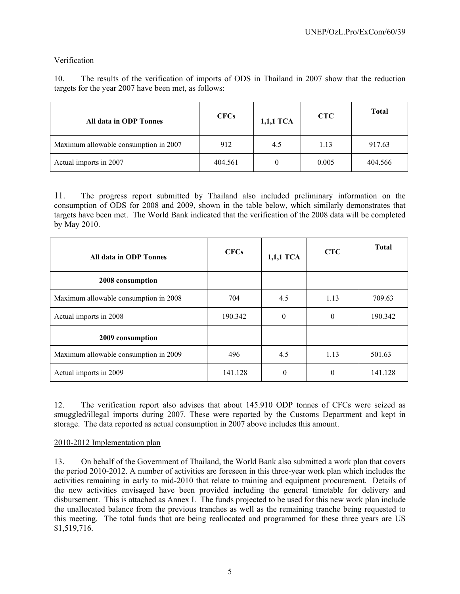#### Verification

10. The results of the verification of imports of ODS in Thailand in 2007 show that the reduction targets for the year 2007 have been met, as follows:

| All data in ODP Tonnes                | <b>CFCs</b> | 1,1,1 TCA | <b>CTC</b> | <b>Total</b> |
|---------------------------------------|-------------|-----------|------------|--------------|
| Maximum allowable consumption in 2007 | 912         | 4.5       | 1.13       | 917.63       |
| Actual imports in 2007                | 404.561     |           | 0.005      | 404.566      |

11. The progress report submitted by Thailand also included preliminary information on the consumption of ODS for 2008 and 2009, shown in the table below, which similarly demonstrates that targets have been met. The World Bank indicated that the verification of the 2008 data will be completed by May 2010.

| All data in ODP Tonnes                | <b>CFCs</b> | 1,1,1 TCA | <b>CTC</b> | <b>Total</b> |
|---------------------------------------|-------------|-----------|------------|--------------|
| 2008 consumption                      |             |           |            |              |
| Maximum allowable consumption in 2008 | 704         | 4.5       | 1.13       | 709.63       |
| Actual imports in 2008                | 190.342     | $\theta$  | $\theta$   | 190.342      |
| 2009 consumption                      |             |           |            |              |
| Maximum allowable consumption in 2009 | 496         | 4.5       | 1.13       | 501.63       |
| Actual imports in 2009                | 141.128     | $\theta$  | $\theta$   | 141.128      |

12. The verification report also advises that about 145.910 ODP tonnes of CFCs were seized as smuggled/illegal imports during 2007. These were reported by the Customs Department and kept in storage. The data reported as actual consumption in 2007 above includes this amount.

#### 2010-2012 Implementation plan

13. On behalf of the Government of Thailand, the World Bank also submitted a work plan that covers the period 2010-2012. A number of activities are foreseen in this three-year work plan which includes the activities remaining in early to mid-2010 that relate to training and equipment procurement. Details of the new activities envisaged have been provided including the general timetable for delivery and disbursement. This is attached as Annex I. The funds projected to be used for this new work plan include the unallocated balance from the previous tranches as well as the remaining tranche being requested to this meeting. The total funds that are being reallocated and programmed for these three years are US \$1,519,716.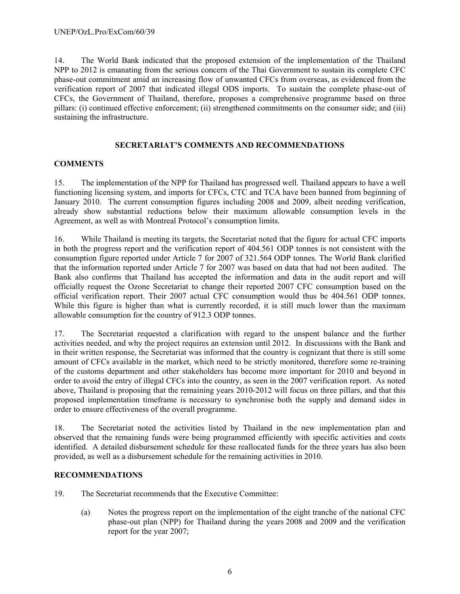14. The World Bank indicated that the proposed extension of the implementation of the Thailand NPP to 2012 is emanating from the serious concern of the Thai Government to sustain its complete CFC phase-out commitment amid an increasing flow of unwanted CFCs from overseas, as evidenced from the verification report of 2007 that indicated illegal ODS imports. To sustain the complete phase-out of CFCs, the Government of Thailand, therefore, proposes a comprehensive programme based on three pillars: (i) continued effective enforcement; (ii) strengthened commitments on the consumer side; and (iii) sustaining the infrastructure.

#### **SECRETARIAT'S COMMENTS AND RECOMMENDATIONS**

#### **COMMENTS**

15. The implementation of the NPP for Thailand has progressed well. Thailand appears to have a well functioning licensing system, and imports for CFCs, CTC and TCA have been banned from beginning of January 2010. The current consumption figures including 2008 and 2009, albeit needing verification, already show substantial reductions below their maximum allowable consumption levels in the Agreement, as well as with Montreal Protocol's consumption limits.

16. While Thailand is meeting its targets, the Secretariat noted that the figure for actual CFC imports in both the progress report and the verification report of 404.561 ODP tonnes is not consistent with the consumption figure reported under Article 7 for 2007 of 321.564 ODP tonnes. The World Bank clarified that the information reported under Article 7 for 2007 was based on data that had not been audited. The Bank also confirms that Thailand has accepted the information and data in the audit report and will officially request the Ozone Secretariat to change their reported 2007 CFC consumption based on the official verification report. Their 2007 actual CFC consumption would thus be 404.561 ODP tonnes. While this figure is higher than what is currently recorded, it is still much lower than the maximum allowable consumption for the country of 912.3 ODP tonnes.

17. The Secretariat requested a clarification with regard to the unspent balance and the further activities needed, and why the project requires an extension until 2012. In discussions with the Bank and in their written response, the Secretariat was informed that the country is cognizant that there is still some amount of CFCs available in the market, which need to be strictly monitored, therefore some re-training of the customs department and other stakeholders has become more important for 2010 and beyond in order to avoid the entry of illegal CFCs into the country, as seen in the 2007 verification report. As noted above, Thailand is proposing that the remaining years 2010-2012 will focus on three pillars, and that this proposed implementation timeframe is necessary to synchronise both the supply and demand sides in order to ensure effectiveness of the overall programme.

18. The Secretariat noted the activities listed by Thailand in the new implementation plan and observed that the remaining funds were being programmed efficiently with specific activities and costs identified. A detailed disbursement schedule for these reallocated funds for the three years has also been provided, as well as a disbursement schedule for the remaining activities in 2010.

#### **RECOMMENDATIONS**

- 19. The Secretariat recommends that the Executive Committee:
	- (a) Notes the progress report on the implementation of the eight tranche of the national CFC phase-out plan (NPP) for Thailand during the years 2008 and 2009 and the verification report for the year 2007;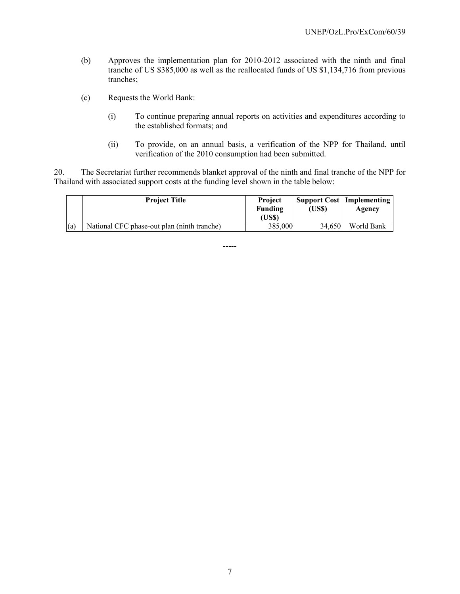- (b) Approves the implementation plan for 2010-2012 associated with the ninth and final tranche of US \$385,000 as well as the reallocated funds of US \$1,134,716 from previous tranches;
- (c) Requests the World Bank:
	- (i) To continue preparing annual reports on activities and expenditures according to the established formats; and
	- (ii) To provide, on an annual basis, a verification of the NPP for Thailand, until verification of the 2010 consumption had been submitted.

20. The Secretariat further recommends blanket approval of the ninth and final tranche of the NPP for Thailand with associated support costs at the funding level shown in the table below:

|     | <b>Project Title</b>                        | <b>Project</b><br>Funding<br>(US\$) | (US\$) | <b>Support Cost   Implementing</b><br>Agency |
|-----|---------------------------------------------|-------------------------------------|--------|----------------------------------------------|
| (a) | National CFC phase-out plan (ninth tranche) | 385,000                             | 34.650 | World Bank                                   |

-----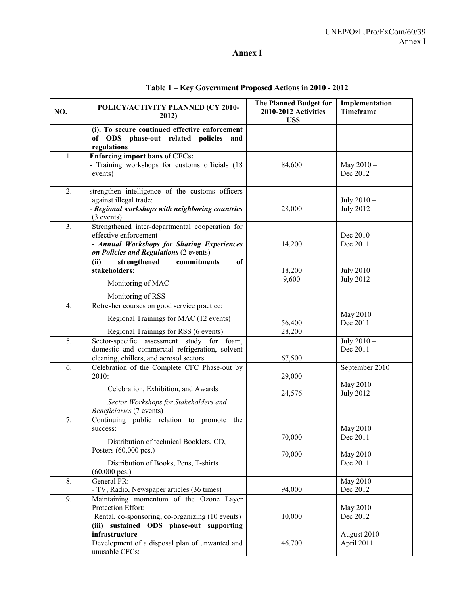### **Annex I**

| NO. | POLICY/ACTIVITY PLANNED (CY 2010-<br>2012)                                                                                                                       | <b>The Planned Budget for</b><br>2010-2012 Activities<br>US\$ | Implementation<br><b>Timeframe</b>    |
|-----|------------------------------------------------------------------------------------------------------------------------------------------------------------------|---------------------------------------------------------------|---------------------------------------|
|     | (i). To secure continued effective enforcement<br>of ODS phase-out related policies<br>and<br>regulations                                                        |                                                               |                                       |
| 1.  | <b>Enforcing import bans of CFCs:</b><br>- Training workshops for customs officials (18<br>events)                                                               | 84,600                                                        | May $2010 -$<br>Dec 2012              |
| 2.  | strengthen intelligence of the customs officers<br>against illegal trade:<br>- Regional workshops with neighboring countries<br>$(3$ events)                     | 28,000                                                        | July 2010 -<br><b>July 2012</b>       |
| 3.  | Strengthened inter-departmental cooperation for<br>effective enforcement<br>- Annual Workshops for Sharing Experiences<br>on Policies and Regulations (2 events) | 14,200                                                        | Dec $2010 -$<br>Dec 2011              |
|     | strengthened<br>of<br>(ii)<br>commitments<br>stakeholders:<br>Monitoring of MAC                                                                                  | 18,200<br>9,600                                               | July 2010 -<br><b>July 2012</b>       |
|     | Monitoring of RSS                                                                                                                                                |                                                               |                                       |
| 4.  | Refresher courses on good service practice:<br>Regional Trainings for MAC (12 events)<br>Regional Trainings for RSS (6 events)                                   | 56,400<br>28,200                                              | May 2010-<br>Dec 2011                 |
| 5.  | Sector-specific assessment study for foam,<br>domestic and commercial refrigeration, solvent<br>cleaning, chillers, and aerosol sectors.                         | 67,500                                                        | July 2010 -<br>Dec 2011               |
| 6.  | Celebration of the Complete CFC Phase-out by<br>2010:                                                                                                            | 29,000                                                        | September 2010<br>May 2010 -          |
|     | Celebration, Exhibition, and Awards<br>Sector Workshops for Stakeholders and<br>Beneficiaries (7 events)                                                         | 24,576                                                        | <b>July 2012</b>                      |
| 7.  | Continuing public relation to promote the<br>success:<br>Distribution of technical Booklets, CD,<br>Posters (60,000 pcs.)                                        | 70,000<br>70,000                                              | May $2010 -$<br>Dec 2011<br>May 2010- |
|     | Distribution of Books, Pens, T-shirts<br>$(60,000 \text{ pc})$                                                                                                   |                                                               | Dec 2011                              |
| 8.  | General PR:<br>- TV, Radio, Newspaper articles (36 times)                                                                                                        | 94,000                                                        | May $2010 -$<br>Dec 2012              |
| 9.  | Maintaining momentum of the Ozone Layer<br>Protection Effort:<br>Rental, co-sponsoring, co-organizing (10 events)                                                | 10,000                                                        | May 2010-<br>Dec 2012                 |
|     | sustained<br>ODS phase-out supporting<br>(iii)<br>infrastructure<br>Development of a disposal plan of unwanted and<br>unusable CFCs:                             | 46,700                                                        | August 2010 -<br>April 2011           |

### **Table 1 – Key Government Proposed Actions in 2010 - 2012**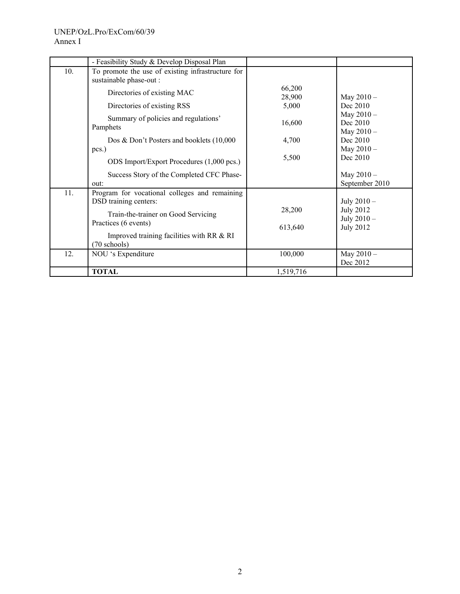#### UNEP/OzL.Pro/ExCom/60/39 Annex I

|     | - Feasibility Study & Develop Disposal Plan                                  |                  |                                       |
|-----|------------------------------------------------------------------------------|------------------|---------------------------------------|
| 10. | To promote the use of existing infrastructure for<br>sustainable phase-out : |                  |                                       |
|     | Directories of existing MAC                                                  | 66,200<br>28,900 | May $2010 -$                          |
|     | Directories of existing RSS                                                  | 5,000            | Dec 2010                              |
|     | Summary of policies and regulations'<br>Pamphets                             | 16,600           | May 2010-<br>Dec 2010<br>May $2010 -$ |
|     | Dos & Don't Posters and booklets (10,000<br>pcs.)                            | 4,700            | Dec 2010<br>May $2010 -$              |
|     | ODS Import/Export Procedures (1,000 pcs.)                                    | 5,500            | Dec 2010                              |
|     | Success Story of the Completed CFC Phase-                                    |                  | May $2010 -$                          |
|     | out:                                                                         |                  | September 2010                        |
| 11. | Program for vocational colleges and remaining<br>DSD training centers:       |                  | July 2010 -                           |
|     | Train-the-trainer on Good Servicing                                          | 28,200           | <b>July 2012</b><br>July 2010 -       |
|     | Practices (6 events)                                                         | 613,640          | <b>July 2012</b>                      |
|     | Improved training facilities with RR & RI<br>(70 schools)                    |                  |                                       |
| 12. | NOU 's Expenditure                                                           | 100,000          | May $2010 -$<br>Dec 2012              |
|     | <b>TOTAL</b>                                                                 | 1,519,716        |                                       |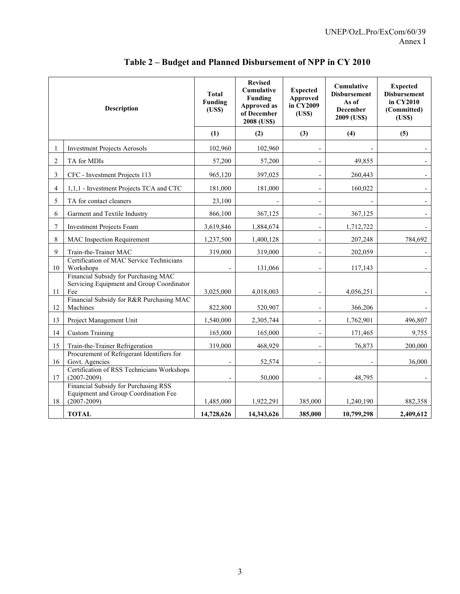| <b>Description</b> |                                                                                                 | <b>Total</b><br>Funding<br>(USS) | <b>Revised</b><br><b>Cumulative</b><br>Funding<br>Approved as<br>of December<br>2008 (US\$) | <b>Expected</b><br>Approved<br>in CY2009<br>(USS) | Cumulative<br><b>Disbursement</b><br>As of<br><b>December</b><br>2009 (US\$) | <b>Expected</b><br><b>Disbursement</b><br>in CY2010<br>(Committed)<br>(USS) |
|--------------------|-------------------------------------------------------------------------------------------------|----------------------------------|---------------------------------------------------------------------------------------------|---------------------------------------------------|------------------------------------------------------------------------------|-----------------------------------------------------------------------------|
|                    |                                                                                                 | (1)                              | (2)                                                                                         | (3)                                               | (4)                                                                          | (5)                                                                         |
| 1                  | <b>Investment Projects Aerosols</b>                                                             | 102,960                          | 102,960                                                                                     |                                                   |                                                                              |                                                                             |
| $\overline{c}$     | TA for MDIs                                                                                     | 57,200                           | 57,200                                                                                      |                                                   | 49,855                                                                       |                                                                             |
| 3                  | CFC - Investment Projects 113                                                                   | 965,120                          | 397,025                                                                                     | $\overline{a}$                                    | 260,443                                                                      |                                                                             |
| 4                  | 1,1,1 - Investment Projects TCA and CTC                                                         | 181,000                          | 181.000                                                                                     | $\overline{\phantom{a}}$                          | 160,022                                                                      |                                                                             |
| 5                  | TA for contact cleaners                                                                         | 23,100                           |                                                                                             | $\frac{1}{2}$                                     |                                                                              |                                                                             |
| 6                  | Garment and Textile Industry                                                                    | 866,100                          | 367,125                                                                                     |                                                   | 367,125                                                                      |                                                                             |
| 7                  | <b>Investment Projects Foam</b>                                                                 | 3,619,846                        | 1,884,674                                                                                   |                                                   | 1,712,722                                                                    |                                                                             |
| 8                  | <b>MAC</b> Inspection Requirement                                                               | 1,237,500                        | 1,400,128                                                                                   | $\overline{\phantom{a}}$                          | 207,248                                                                      | 784,692                                                                     |
| 9                  | Train-the-Trainer MAC                                                                           | 319,000                          | 319,000                                                                                     |                                                   | 202,059                                                                      |                                                                             |
| 10                 | Certification of MAC Service Technicians<br>Workshops                                           |                                  | 131,066                                                                                     |                                                   | 117,143                                                                      |                                                                             |
| 11                 | Financial Subsidy for Purchasing MAC<br>Servicing Equipment and Group Coordinator<br>Fee        | 3,025,000                        | 4,018,003                                                                                   |                                                   | 4,056,251                                                                    |                                                                             |
| 12                 | Financial Subsidy for R&R Purchasing MAC<br>Machines                                            | 822,800                          | 520,907                                                                                     |                                                   | 366,206                                                                      |                                                                             |
| 13                 | Project Management Unit                                                                         | 1,540,000                        | 2,305,744                                                                                   |                                                   | 1,762,901                                                                    | 496,807                                                                     |
| 14                 | <b>Custom Training</b>                                                                          | 165,000                          | 165,000                                                                                     |                                                   | 171,465                                                                      | 9,755                                                                       |
| 15                 | Train-the-Trainer Refrigeration                                                                 | 319,000                          | 468,929                                                                                     |                                                   | 76,873                                                                       | 200,000                                                                     |
| 16                 | Procurement of Refrigerant Identifiers for<br>Govt. Agencies                                    |                                  | 52,574                                                                                      |                                                   |                                                                              | 36,000                                                                      |
| 17                 | Certification of RSS Technicians Workshops<br>$(2007 - 2009)$                                   |                                  | 50,000                                                                                      |                                                   | 48,795                                                                       |                                                                             |
| 18                 | Financial Subsidy for Purchasing RSS<br>Equipment and Group Coordination Fee<br>$(2007 - 2009)$ | 1,485,000                        | 1,922,291                                                                                   | 385,000                                           | 1,240,190                                                                    | 882,358                                                                     |
|                    | <b>TOTAL</b>                                                                                    | 14,728,626                       | 14,343,626                                                                                  | 385,000                                           | 10,799,298                                                                   | 2,409,612                                                                   |

## **Table 2 – Budget and Planned Disbursement of NPP in CY 2010**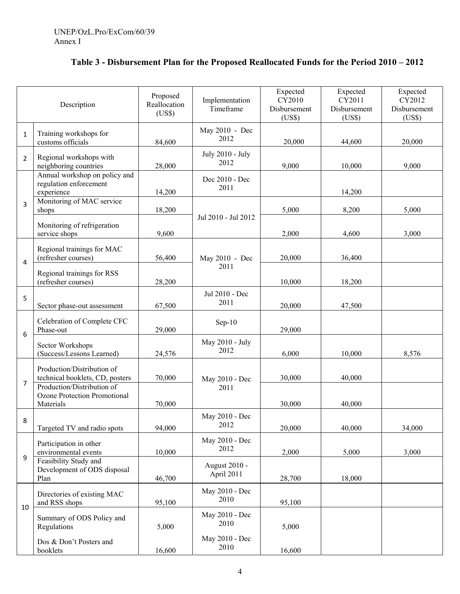| Table 3 - Disbursement Plan for the Proposed Reallocated Funds for the Period 2010 – 2012 |  |  |  |  |  |
|-------------------------------------------------------------------------------------------|--|--|--|--|--|
|-------------------------------------------------------------------------------------------|--|--|--|--|--|

| Description    |                                                                         | Proposed<br>Reallocation<br>(US\$) | Implementation<br>Timeframe | Expected<br>CY2010<br>Disbursement<br>(US\$) | Expected<br>CY2011<br>Disbursement<br>(US\$) | Expected<br>CY2012<br>Disbursement<br>(US\$) |
|----------------|-------------------------------------------------------------------------|------------------------------------|-----------------------------|----------------------------------------------|----------------------------------------------|----------------------------------------------|
| $\mathbf{1}$   | Training workshops for<br>customs officials                             | 84,600                             | May 2010 - Dec<br>2012      | 20,000                                       | 44,600                                       | 20,000                                       |
| $\overline{2}$ | Regional workshops with<br>neighboring countries                        | 28,000                             | July 2010 - July<br>2012    | 9,000                                        | 10,000                                       | 9,000                                        |
|                | Annual workshop on policy and<br>regulation enforcement<br>experience   | 14,200                             | Dec 2010 - Dec<br>2011      |                                              | 14,200                                       |                                              |
| 3              | Monitoring of MAC service<br>shops                                      | 18,200                             |                             | 5,000                                        | 8,200                                        | 5,000                                        |
|                | Monitoring of refrigeration<br>service shops                            | 9,600                              | Jul 2010 - Jul 2012         | 2,000                                        | 4,600                                        | 3,000                                        |
| 4              | Regional trainings for MAC<br>(refresher courses)                       | 56,400                             | May 2010 - Dec              | 20,000                                       | 36,400                                       |                                              |
|                | Regional trainings for RSS<br>(refresher courses)                       | 28,200                             | 2011                        | 10,000                                       | 18,200                                       |                                              |
| 5              | Sector phase-out assessment                                             | 67,500                             | Jul 2010 - Dec<br>2011      | 20,000                                       | 47,500                                       |                                              |
| 6              | Celebration of Complete CFC<br>Phase-out                                | 29,000                             | $Sep-10$                    | 29,000                                       |                                              |                                              |
|                | Sector Workshops<br>(Success/Lessons Learned)                           | 24,576                             | May 2010 - July<br>2012     | 6,000                                        | 10,000                                       | 8,576                                        |
| 7              | Production/Distribution of<br>technical booklets, CD, posters           | 70,000                             | May 2010 - Dec              | 30,000                                       | 40,000                                       |                                              |
|                | Production/Distribution of<br>Ozone Protection Promotional<br>Materials | 70,000                             | 2011                        | 30,000                                       | 40,000                                       |                                              |
| 8              | Targeted TV and radio spots                                             | 94,000                             | May 2010 - Dec<br>2012      | 20,000                                       | 40,000                                       | 34,000                                       |
| 9              | Participation in other<br>environmental events                          | 10,000                             | May 2010 - Dec<br>2012      | 2,000                                        | 5,000                                        | 3,000                                        |
|                | Feasibility Study and<br>Development of ODS disposal<br>Plan            | 46,700                             | August 2010 -<br>April 2011 | 28,700                                       | 18,000                                       |                                              |
|                | Directories of existing MAC<br>and RSS shops                            | 95,100                             | May 2010 - Dec<br>2010      | 95,100                                       |                                              |                                              |
| 10             | Summary of ODS Policy and<br>Regulations                                | 5,000                              | May 2010 - Dec<br>2010      | 5,000                                        |                                              |                                              |
|                | Dos & Don't Posters and<br>booklets                                     | 16,600                             | May 2010 - Dec<br>2010      | 16,600                                       |                                              |                                              |